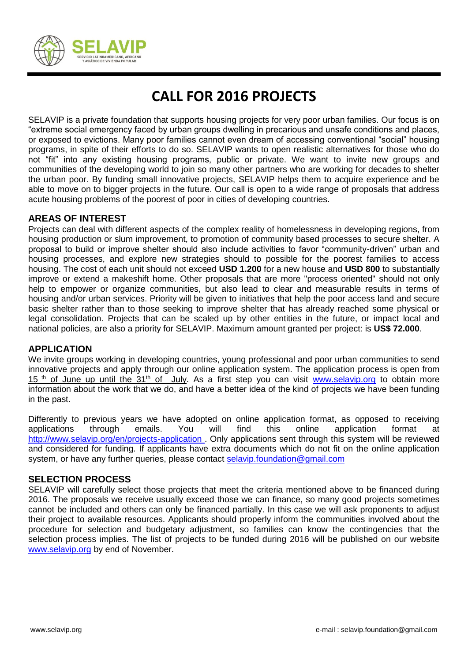

# **CALL FOR 2016 PROJECTS**

SELAVIP is a private foundation that supports housing projects for very poor urban families. Our focus is on "extreme social emergency faced by urban groups dwelling in precarious and unsafe conditions and places, or exposed to evictions. Many poor families cannot even dream of accessing conventional "social" housing programs, in spite of their efforts to do so. SELAVIP wants to open realistic alternatives for those who do not "fit" into any existing housing programs, public or private. We want to invite new groups and communities of the developing world to join so many other partners who are working for decades to shelter the urban poor. By funding small innovative projects, SELAVIP helps them to acquire experience and be able to move on to bigger projects in the future. Our call is open to a wide range of proposals that address acute housing problems of the poorest of poor in cities of developing countries.

## **AREAS OF INTEREST**

Projects can deal with different aspects of the complex reality of homelessness in developing regions, from housing production or slum improvement, to promotion of community based processes to secure shelter. A proposal to build or improve shelter should also include activities to favor "community-driven" urban and housing processes, and explore new strategies should to possible for the poorest families to access housing. The cost of each unit should not exceed **USD 1.200** for a new house and **USD 800** to substantially improve or extend a makeshift home. Other proposals that are more "process oriented" should not only help to empower or organize communities, but also lead to clear and measurable results in terms of housing and/or urban services. Priority will be given to initiatives that help the poor access land and secure basic shelter rather than to those seeking to improve shelter that has already reached some physical or legal consolidation. Projects that can be scaled up by other entities in the future, or impact local and national policies, are also a priority for SELAVIP. Maximum amount granted per project: is **US\$ 72.000**.

### **APPLICATION**

We invite groups working in developing countries, young professional and poor urban communities to send innovative projects and apply through our online application system. The application process is open from  $15$ <sup>th</sup> of June up until the  $31<sup>th</sup>$  of July. As a first step you can visit [www.selavip.org](http://www.selavip.org/) to obtain more information about the work that we do, and have a better idea of the kind of projects we have been funding in the past.

Differently to previous years we have adopted on online application format, as opposed to receiving applications through emails. You will find this online application format at <http://www.selavip.org/en/projects-application> . Only applications sent through this system will be reviewed and considered for funding. If applicants have extra documents which do not fit on the online application system, or have any further queries, please contact [selavip.foundation@gmail.com](mailto:selavip.foundation@gmail.com)

### **SELECTION PROCESS**

SELAVIP will carefully select those projects that meet the criteria mentioned above to be financed during 2016. The proposals we receive usually exceed those we can finance, so many good projects sometimes cannot be included and others can only be financed partially. In this case we will ask proponents to adjust their project to available resources. Applicants should properly inform the communities involved about the procedure for selection and budgetary adjustment, so families can know the contingencies that the selection process implies. The list of projects to be funded during 2016 will be published on our website [www.selavip.org](http://www.selavip.org/) by end of November.